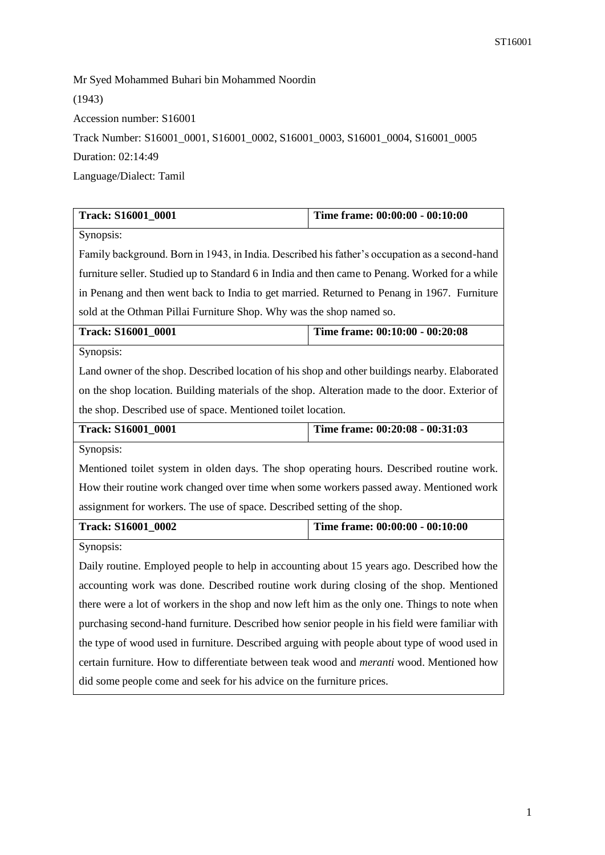Mr Syed Mohammed Buhari bin Mohammed Noordin (1943) Accession number: S16001 Track Number: S16001\_0001, S16001\_0002, S16001\_0003, S16001\_0004, S16001\_0005 Duration: 02:14:49 Language/Dialect: Tamil

| Track: S16001_0001                                                                               | Time frame: 00:00:00 - 00:10:00 |  |
|--------------------------------------------------------------------------------------------------|---------------------------------|--|
| Synopsis:                                                                                        |                                 |  |
| Family background. Born in 1943, in India. Described his father's occupation as a second-hand    |                                 |  |
| furniture seller. Studied up to Standard 6 in India and then came to Penang. Worked for a while  |                                 |  |
| in Penang and then went back to India to get married. Returned to Penang in 1967. Furniture      |                                 |  |
| sold at the Othman Pillai Furniture Shop. Why was the shop named so.                             |                                 |  |
| Track: S16001_0001                                                                               | Time frame: 00:10:00 - 00:20:08 |  |
| Synopsis:                                                                                        |                                 |  |
| Land owner of the shop. Described location of his shop and other buildings nearby. Elaborated    |                                 |  |
| on the shop location. Building materials of the shop. Alteration made to the door. Exterior of   |                                 |  |
| the shop. Described use of space. Mentioned toilet location.                                     |                                 |  |
| Track: S16001_0001                                                                               | Time frame: 00:20:08 - 00:31:03 |  |
| Synopsis:                                                                                        |                                 |  |
| Mentioned toilet system in olden days. The shop operating hours. Described routine work.         |                                 |  |
| How their routine work changed over time when some workers passed away. Mentioned work           |                                 |  |
| assignment for workers. The use of space. Described setting of the shop.                         |                                 |  |
| Track: S16001_0002                                                                               | Time frame: 00:00:00 - 00:10:00 |  |
| Synopsis:                                                                                        |                                 |  |
| Daily routine. Employed people to help in accounting about 15 years ago. Described how the       |                                 |  |
| accounting work was done. Described routine work during closing of the shop. Mentioned           |                                 |  |
| there were a lot of workers in the shop and now left him as the only one. Things to note when    |                                 |  |
| purchasing second-hand furniture. Described how senior people in his field were familiar with    |                                 |  |
| the type of wood used in furniture. Described arguing with people about type of wood used in     |                                 |  |
| certain furniture. How to differentiate between teak wood and <i>meranti</i> wood. Mentioned how |                                 |  |
| did some people come and seek for his advice on the furniture prices.                            |                                 |  |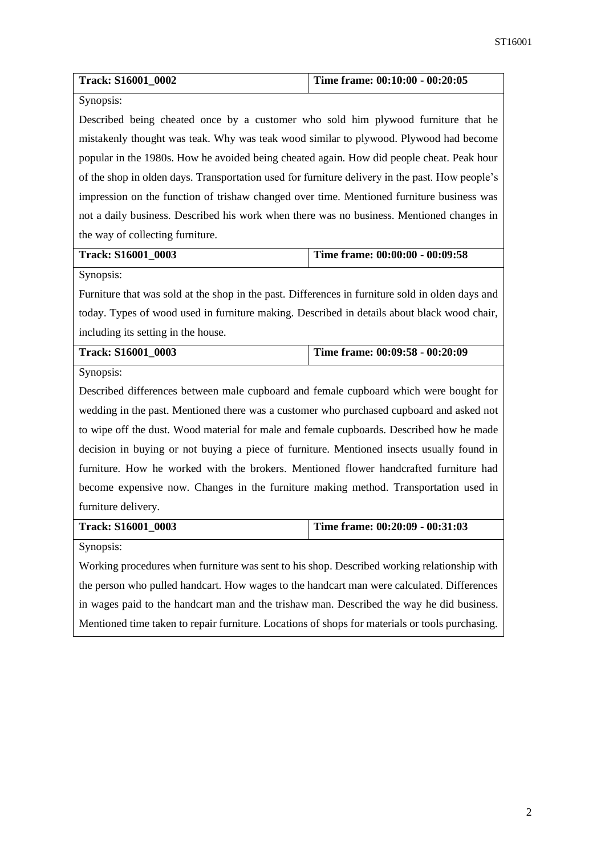| Track: S16001_0002                                                                               | Time frame: 00:10:00 - 00:20:05 |  |
|--------------------------------------------------------------------------------------------------|---------------------------------|--|
| Synopsis:                                                                                        |                                 |  |
| Described being cheated once by a customer who sold him plywood furniture that he                |                                 |  |
| mistakenly thought was teak. Why was teak wood similar to plywood. Plywood had become            |                                 |  |
| popular in the 1980s. How he avoided being cheated again. How did people cheat. Peak hour        |                                 |  |
| of the shop in olden days. Transportation used for furniture delivery in the past. How people's  |                                 |  |
| impression on the function of trishaw changed over time. Mentioned furniture business was        |                                 |  |
| not a daily business. Described his work when there was no business. Mentioned changes in        |                                 |  |
| the way of collecting furniture.                                                                 |                                 |  |
| Track: S16001_0003                                                                               | Time frame: 00:00:00 - 00:09:58 |  |
| Synopsis:                                                                                        |                                 |  |
| Furniture that was sold at the shop in the past. Differences in furniture sold in olden days and |                                 |  |
| today. Types of wood used in furniture making. Described in details about black wood chair,      |                                 |  |
| including its setting in the house.                                                              |                                 |  |
| Track: S16001_0003                                                                               | Time frame: 00:09:58 - 00:20:09 |  |
| Synopsis:                                                                                        |                                 |  |
| Described differences between male cupboard and female cupboard which were bought for            |                                 |  |
| wedding in the past. Mentioned there was a customer who purchased cupboard and asked not         |                                 |  |
|                                                                                                  |                                 |  |
| to wipe off the dust. Wood material for male and female cupboards. Described how he made         |                                 |  |
| decision in buying or not buying a piece of furniture. Mentioned insects usually found in        |                                 |  |
| furniture. How he worked with the brokers. Mentioned flower handcrafted furniture had            |                                 |  |
| become expensive now. Changes in the furniture making method. Transportation used in             |                                 |  |
| furniture delivery.                                                                              |                                 |  |
| Track: S16001_0003                                                                               | Time frame: 00:20:09 - 00:31:03 |  |
| Synopsis:                                                                                        |                                 |  |
| Working procedures when furniture was sent to his shop. Described working relationship with      |                                 |  |
| the person who pulled handcart. How wages to the handcart man were calculated. Differences       |                                 |  |

Mentioned time taken to repair furniture. Locations of shops for materials or tools purchasing.